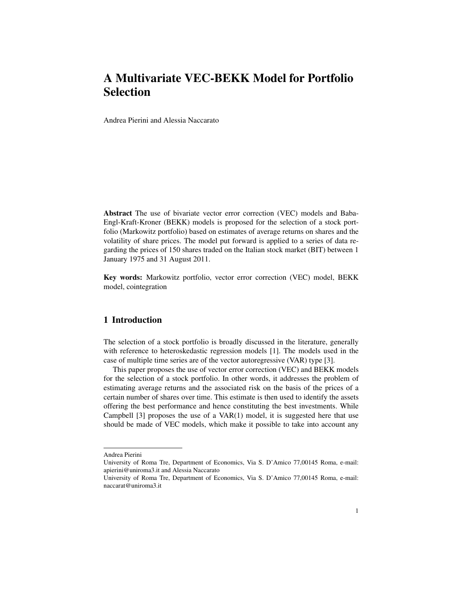# A Multivariate VEC-BEKK Model for Portfolio Selection

Andrea Pierini and Alessia Naccarato

Abstract The use of bivariate vector error correction (VEC) models and Baba-Engl-Kraft-Kroner (BEKK) models is proposed for the selection of a stock portfolio (Markowitz portfolio) based on estimates of average returns on shares and the volatility of share prices. The model put forward is applied to a series of data regarding the prices of 150 shares traded on the Italian stock market (BIT) between 1 January 1975 and 31 August 2011.

Key words: Markowitz portfolio, vector error correction (VEC) model, BEKK model, cointegration

# 1 Introduction

The selection of a stock portfolio is broadly discussed in the literature, generally with reference to heteroskedastic regression models [1]. The models used in the case of multiple time series are of the vector autoregressive (VAR) type [3].

This paper proposes the use of vector error correction (VEC) and BEKK models for the selection of a stock portfolio. In other words, it addresses the problem of estimating average returns and the associated risk on the basis of the prices of a certain number of shares over time. This estimate is then used to identify the assets offering the best performance and hence constituting the best investments. While Campbell [3] proposes the use of a VAR(1) model, it is suggested here that use should be made of VEC models, which make it possible to take into account any

Andrea Pierini

University of Roma Tre, Department of Economics, Via S. D'Amico 77,00145 Roma, e-mail: apierini@uniroma3.it and Alessia Naccarato

University of Roma Tre, Department of Economics, Via S. D'Amico 77,00145 Roma, e-mail: naccarat@uniroma3.it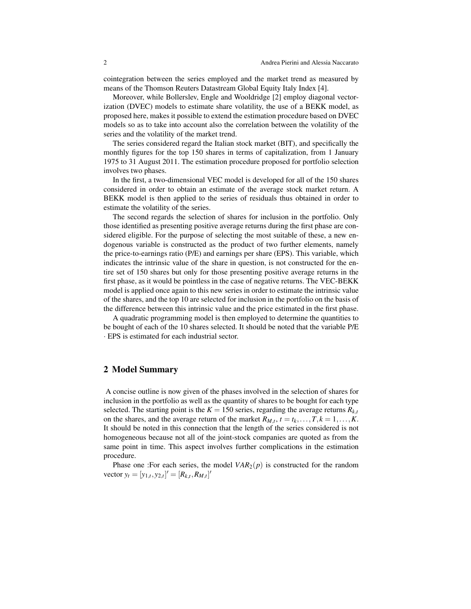cointegration between the series employed and the market trend as measured by means of the Thomson Reuters Datastream Global Equity Italy Index [4].

Moreover, while Bollerslev, Engle and Wooldridge [2] employ diagonal vectorization (DVEC) models to estimate share volatility, the use of a BEKK model, as proposed here, makes it possible to extend the estimation procedure based on DVEC models so as to take into account also the correlation between the volatility of the series and the volatility of the market trend.

The series considered regard the Italian stock market (BIT), and specifically the monthly figures for the top 150 shares in terms of capitalization, from 1 January 1975 to 31 August 2011. The estimation procedure proposed for portfolio selection involves two phases.

In the first, a two-dimensional VEC model is developed for all of the 150 shares considered in order to obtain an estimate of the average stock market return. A BEKK model is then applied to the series of residuals thus obtained in order to estimate the volatility of the series.

The second regards the selection of shares for inclusion in the portfolio. Only those identified as presenting positive average returns during the first phase are considered eligible. For the purpose of selecting the most suitable of these, a new endogenous variable is constructed as the product of two further elements, namely the price-to-earnings ratio (P/E) and earnings per share (EPS). This variable, which indicates the intrinsic value of the share in question, is not constructed for the entire set of 150 shares but only for those presenting positive average returns in the first phase, as it would be pointless in the case of negative returns. The VEC-BEKK model is applied once again to this new series in order to estimate the intrinsic value of the shares, and the top 10 are selected for inclusion in the portfolio on the basis of the difference between this intrinsic value and the price estimated in the first phase.

A quadratic programming model is then employed to determine the quantities to be bought of each of the 10 shares selected. It should be noted that the variable P/E · EPS is estimated for each industrial sector.

# 2 Model Summary

A concise outline is now given of the phases involved in the selection of shares for inclusion in the portfolio as well as the quantity of shares to be bought for each type selected. The starting point is the  $K = 150$  series, regarding the average returns  $R_{k,t}$ on the shares, and the average return of the market  $R_{M,t}$ ,  $t = t_k, \ldots, T, k = 1, \ldots, K$ . It should be noted in this connection that the length of the series considered is not homogeneous because not all of the joint-stock companies are quoted as from the same point in time. This aspect involves further complications in the estimation procedure.

Phase one :For each series, the model  $VAR_2(p)$  is constructed for the random vector  $y_t = [y_{1,t}, y_{2,t}]' = [R_{k,t}, R_{M,t}]'$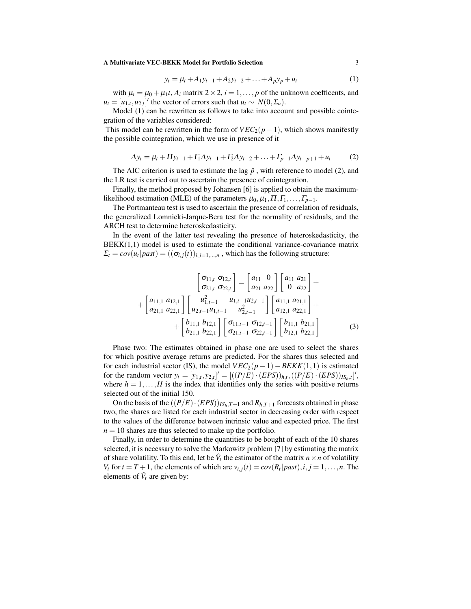#### A Multivariate VEC-BEKK Model for Portfolio Selection 3

$$
y_t = \mu_t + A_1 y_{t-1} + A_2 y_{t-2} + \ldots + A_p y_p + u_t \tag{1}
$$

with  $\mu$ <sub>*t*</sub> =  $\mu$ <sub>0</sub> +  $\mu$ <sub>1</sub>*t*, *A*<sub>*i*</sub> matrix 2 × 2, *i* = 1, ..., *p* of the unknown coefficents, and  $u_t = [u_{1,t}, u_{2,t}]'$  the vector of errors such that  $u_t \sim N(0, \Sigma_u)$ .

Model (1) can be rewritten as follows to take into account and possible cointegration of the variables considered:

This model can be rewritten in the form of  $VEC_2(p-1)$ , which shows manifestly the possible cointegration, which we use in presence of it

$$
\Delta y_t = \mu_t + \Pi y_{t-1} + \Gamma_1 \Delta y_{t-1} + \Gamma_2 \Delta y_{t-2} + \ldots + \Gamma_{p-1} \Delta y_{t-p+1} + u_t \tag{2}
$$

The AIC criterion is used to estimate the lag  $\hat{p}$ , with reference to model (2), and the LR test is carried out to ascertain the presence of cointegration.

Finally, the method proposed by Johansen [6] is applied to obtain the maximumlikelihood estimation (MLE) of the parameters  $\mu_0, \mu_1, \Pi, \Pi, \ldots, \Pi_{p-1}$ .

The Portmanteau test is used to ascertain the presence of correlation of residuals, the generalized Lomnicki-Jarque-Bera test for the normality of residuals, and the ARCH test to determine heteroskedasticity.

In the event of the latter test revealing the presence of heteroskedasticity, the  $BEKK(1,1)$  model is used to estimate the conditional variance-covariance matrix  $\Sigma_t = cov(u_t|past) = ((\sigma_{i,j}(t))_{i,j=1,\dots,n}$ , which has the following structure:

$$
\begin{bmatrix}\n\sigma_{11,t} & \sigma_{12,t} \\
\sigma_{21,t} & \sigma_{22,t}\n\end{bmatrix} = \begin{bmatrix}\na_{11} & 0 \\
a_{21} & a_{22}\n\end{bmatrix} \begin{bmatrix}\na_{11} & a_{21} \\
0 & a_{22}\n\end{bmatrix} + \begin{bmatrix}\na_{11,1} & a_{12,1} \\
a_{21,1} & a_{22,1}\n\end{bmatrix} \begin{bmatrix}\nu_{1,t-1}^2 & u_{1,t-1}u_{2,t-1} \\
u_{2,t-1}u_{1,t-1} & u_{2,t-1}^2\n\end{bmatrix} \begin{bmatrix}\na_{11,1} & a_{21,1} \\
a_{12,1} & a_{22,1}\n\end{bmatrix} + \begin{bmatrix}\nb_{11,1} & b_{12,1} \\
b_{21,1} & b_{22,1}\n\end{bmatrix} \begin{bmatrix}\n\sigma_{11,t-1} & \sigma_{12,t-1} \\
\sigma_{21,t-1} & \sigma_{22,t-1}\n\end{bmatrix} \begin{bmatrix}\nb_{11,1} & b_{21,1} \\
b_{12,1} & b_{22,1}\n\end{bmatrix}
$$
\n(3)

Phase two: The estimates obtained in phase one are used to select the shares for which positive average returns are predicted. For the shares thus selected and for each industrial sector (IS), the model  $VEC_2(p-1) - BEKK(1,1)$  is estimated for the random vector  $y_t = [y_{1,t}, y_{2,t}]' = [((P/E) \cdot (EPS))_{h,t}, ((P/E) \cdot (EPS))_{IS_h,t}]',$ where  $h = 1, \ldots, H$  is the index that identifies only the series with positive returns selected out of the initial 150.

On the basis of the  $((P/E) \cdot (EPS))_{IS_h,T+1}$  and  $R_{h,T+1}$  forecasts obtained in phase two, the shares are listed for each industrial sector in decreasing order with respect to the values of the difference between intrinsic value and expected price. The first  $n = 10$  shares are thus selected to make up the portfolio.

Finally, in order to determine the quantities to be bought of each of the 10 shares selected, it is necessary to solve the Markowitz problem [7] by estimating the matrix of share volatility. To this end, let be  $\hat{V}_t$  the estimator of the matrix  $n \times n$  of volatility *V*<sub>t</sub> for  $t = T + 1$ , the elements of which are  $v_{i,j}(t) = cov(R_t|past), i, j = 1, \ldots, n$ . The elements of  $\hat{V}_t$  are given by: